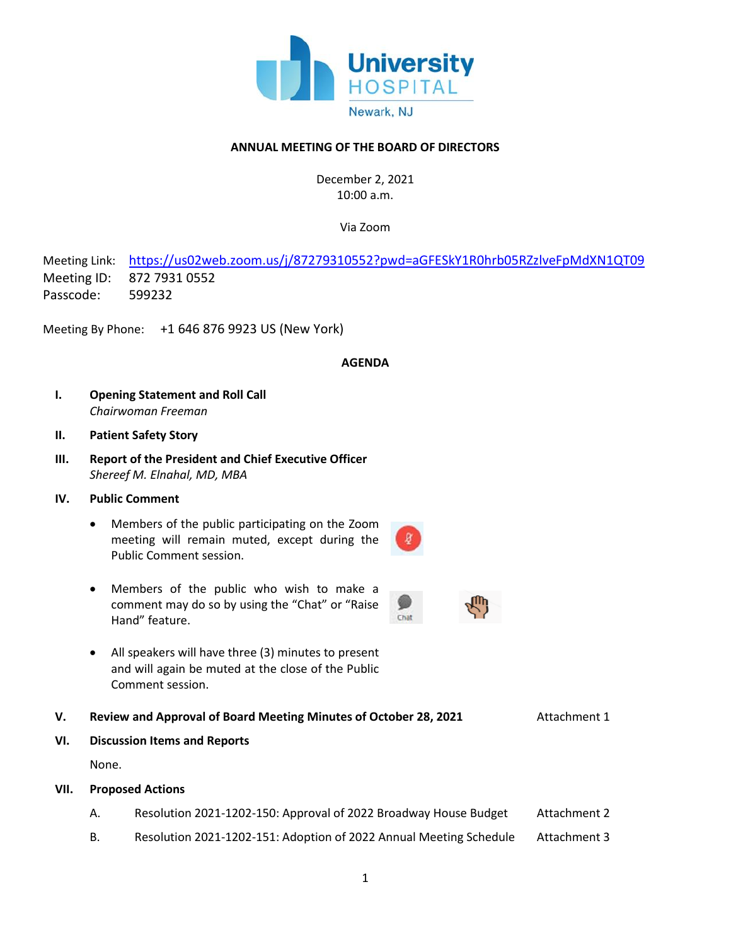

## **ANNUAL MEETING OF THE BOARD OF DIRECTORS**

December 2, 2021 10:00 a.m.

Via Zoom

Meeting Link: <https://us02web.zoom.us/j/87279310552?pwd=aGFESkY1R0hrb05RZzlveFpMdXN1QT09> Meeting ID: 872 7931 0552 Passcode: 599232

Meeting By Phone: +1 646 876 9923 US (New York)

#### **AGENDA**

Chat

- **I. Opening Statement and Roll Call** *Chairwoman Freeman*
- **II. Patient Safety Story**
- **III. Report of the President and Chief Executive Officer** *Shereef M. Elnahal, MD, MBA*
- **IV. Public Comment**
	- Members of the public participating on the Zoom meeting will remain muted, except during the Public Comment session.
	- Members of the public who wish to make a comment may do so by using the "Chat" or "Raise Hand" feature.
	- All speakers will have three (3) minutes to present and will again be muted at the close of the Public Comment session.
- **V. Review and Approval of Board Meeting Minutes of October 28, 2021** Attachment 1
- **VI. Discussion Items and Reports**

None.

- **VII. Proposed Actions** 
	- A. Resolution 2021-1202-150: Approval of 2022 Broadway House Budget Attachment 2
	- B. Resolution 2021-1202-151: Adoption of 2022 Annual Meeting Schedule Attachment 3